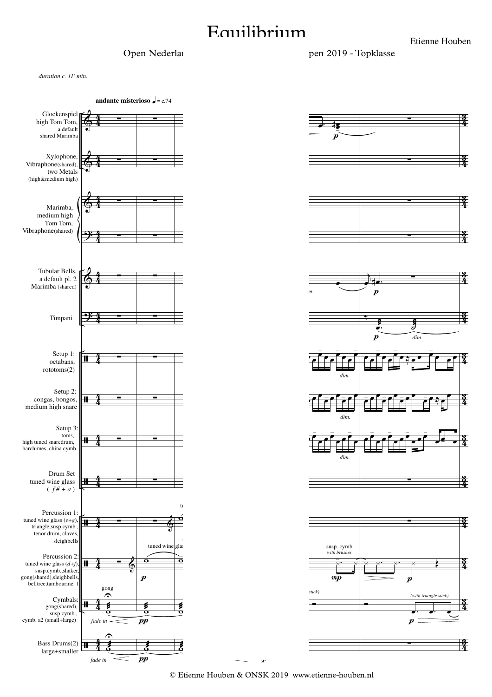# Externe Houben

Open Nederlandse Slagwerk Kampioenschappen 2019 - Topklasse

*duration c. 11' min.*





 $\frac{3}{4}$ 

 $\mathbf{r}$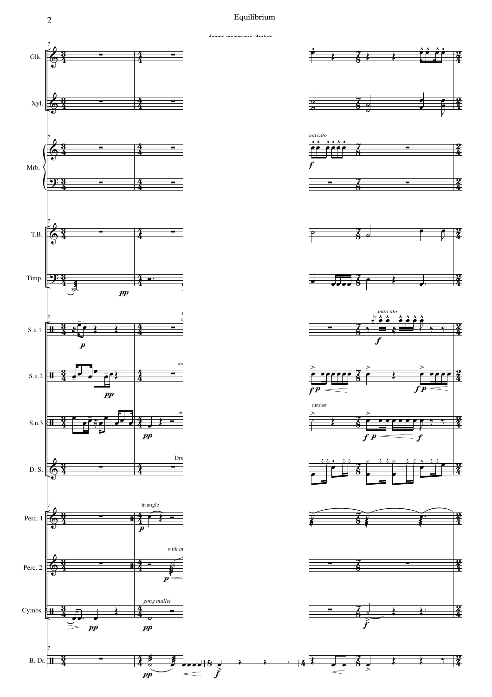*doppio movimento, Agitato*













 $\leftrightarrow$   $\frac{2}{4}$ 

 $\Box$ 

œ  $\frac{1}{2}$ 

 $\overline{\mathbf{r}}$ 

4 2 Œ Œ ‰

> f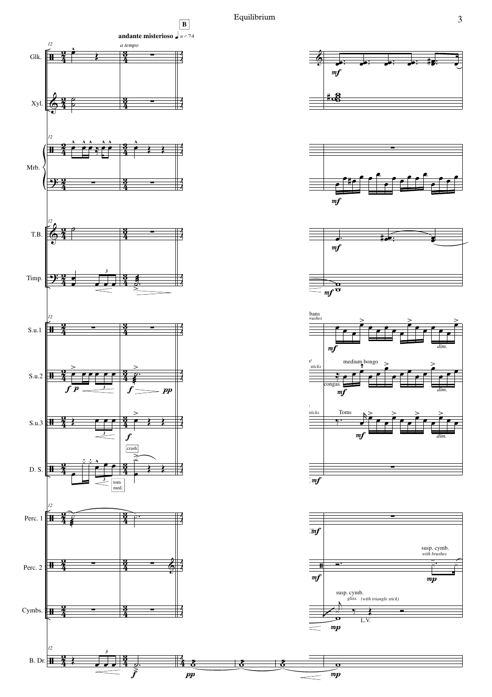











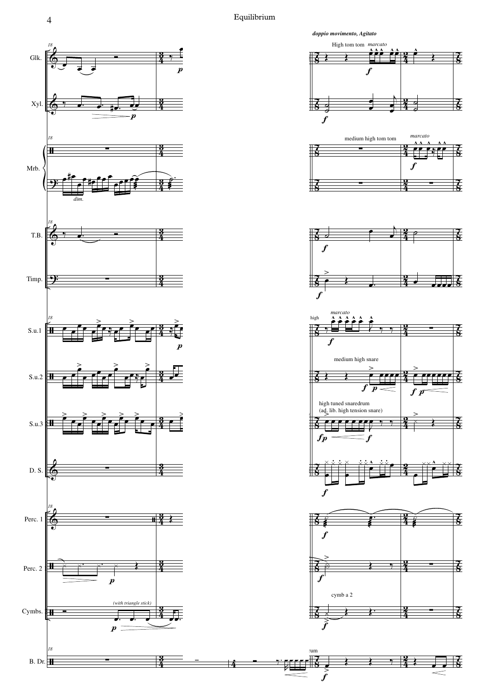4  $\overline{t}$ 

 $\gamma$ .

R œ œœœœ

"<br>8

œ  $\frac{\epsilon}{c}$ 

f

rum

*doppio movimento, Agitato*













 $\begin{array}{c} \begin{array}{c} \end{array} & \begin{array}{c} \end{array} & \begin{array}{c} \end{array} & \begin{array}{c} \end{array} & \begin{array}{c} \end{array} & \end{array}$ 

4 2<br>2

Œ

 $\overline{\phantom{a}}$   $\overline{\phantom{a}}$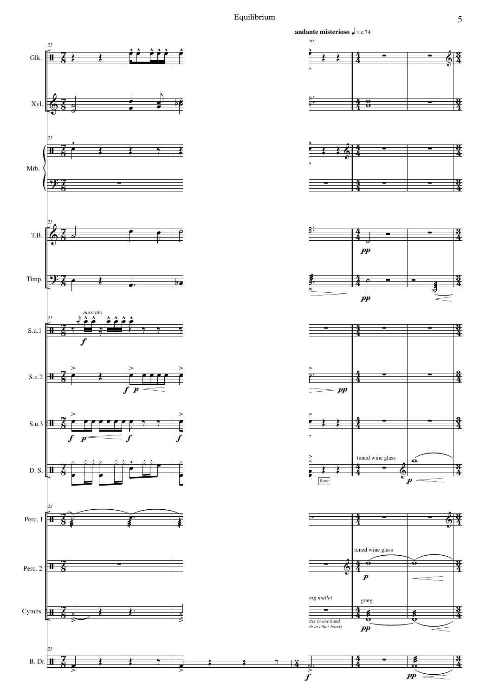

 $\frac{2}{2}$ 











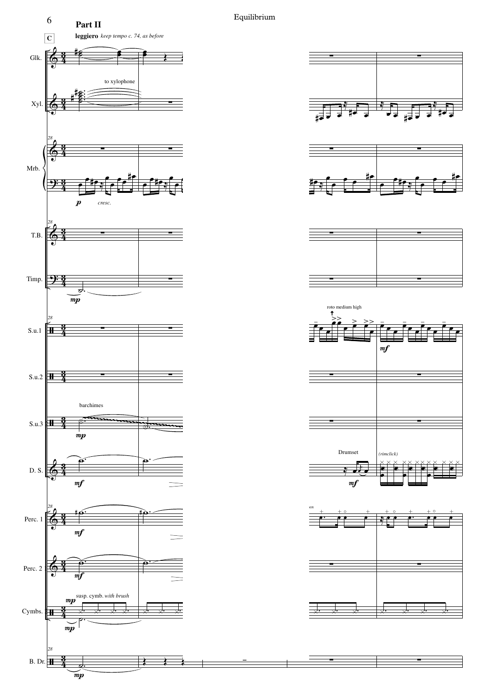







∑

∑

Equilibrium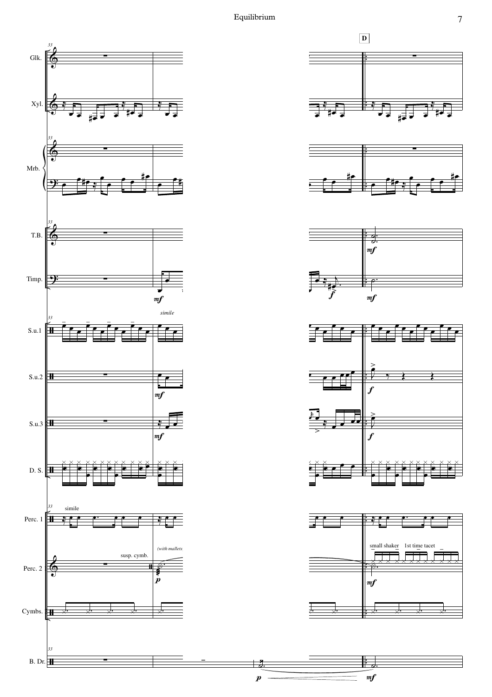





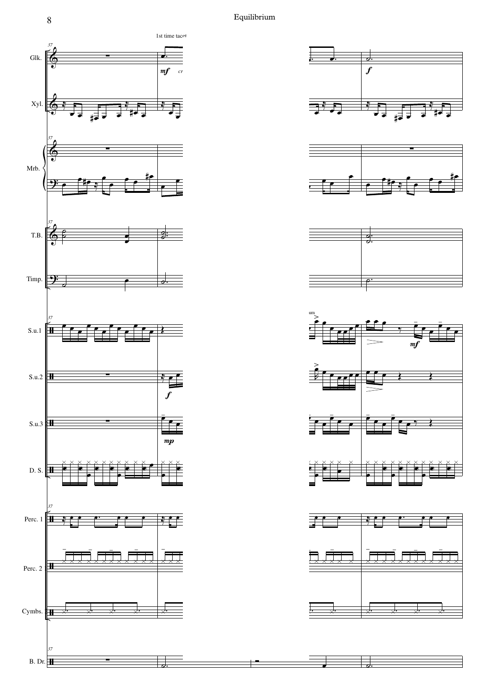







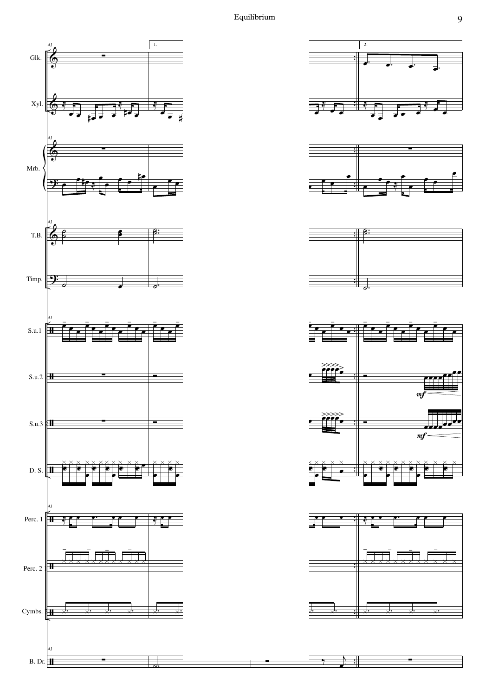









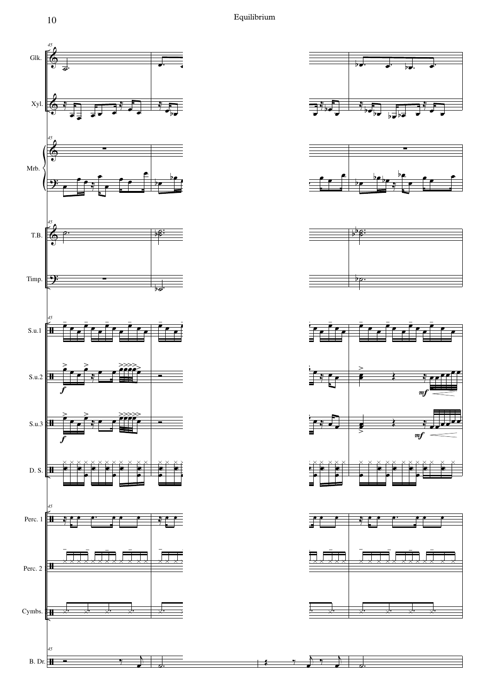$\equiv$ 





 $\overrightarrow{b^+}$ 

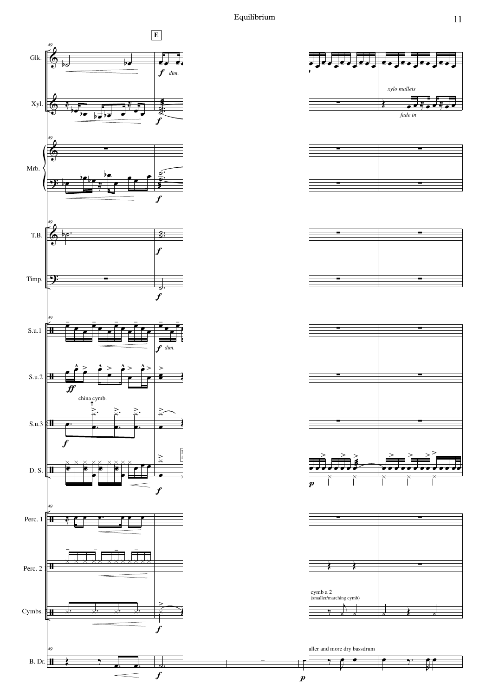











 $\bullet$   $\bullet$ .

R œ œ



J

 $\boldsymbol{p}$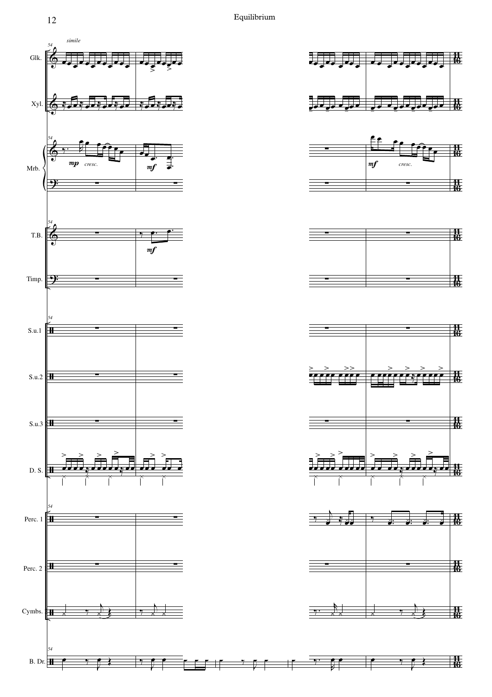











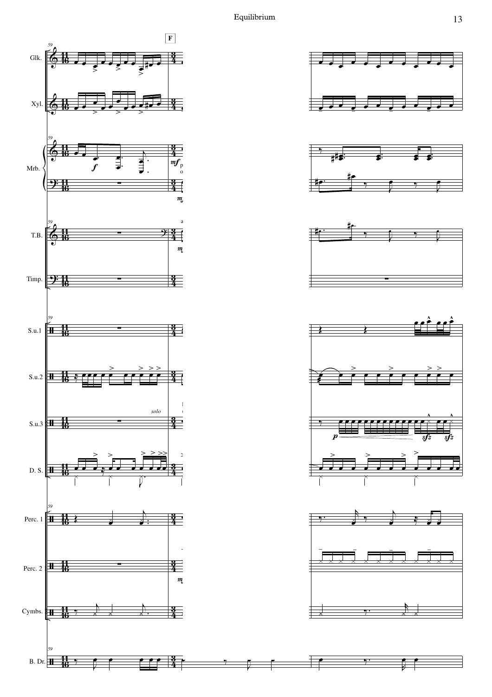











 $\frac{1}{\sqrt{2}}$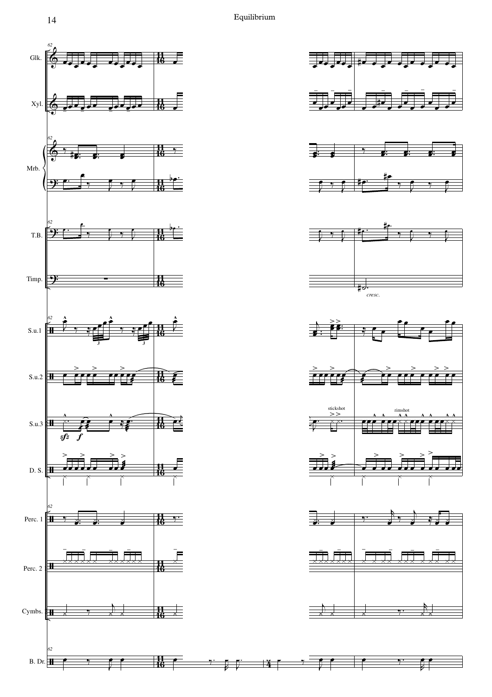











 $\cdot$ 

 $\beta$  (

 $\mathbf{f}$ 

 $\rightarrow$  4  $\rightarrow$ 

 $\overline{\phantom{a}}$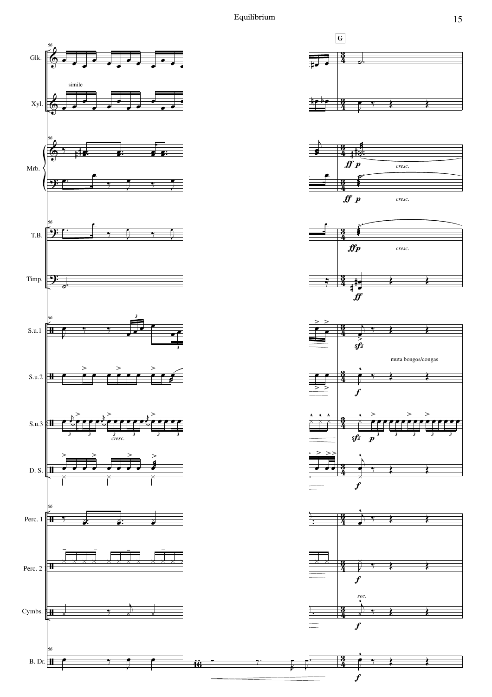



![](_page_14_Figure_3.jpeg)

![](_page_14_Figure_4.jpeg)

![](_page_14_Figure_5.jpeg)

![](_page_14_Figure_6.jpeg)

 $\boldsymbol{f}$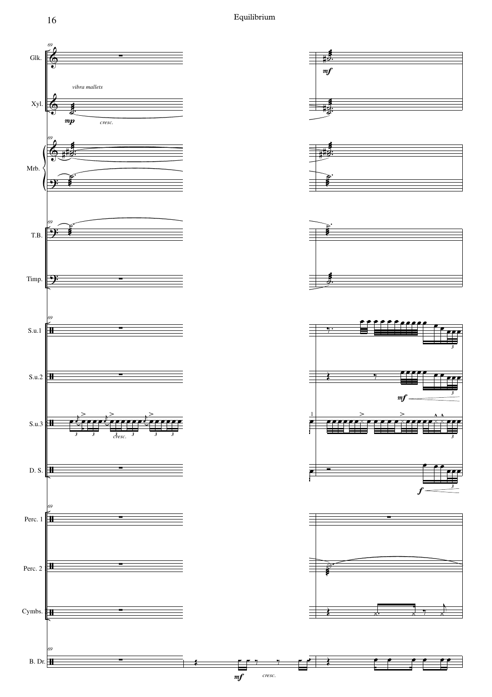![](_page_15_Figure_1.jpeg)

![](_page_15_Figure_2.jpeg)

![](_page_15_Figure_3.jpeg)

![](_page_15_Figure_4.jpeg)

![](_page_15_Figure_5.jpeg)

![](_page_15_Figure_6.jpeg)

cresc.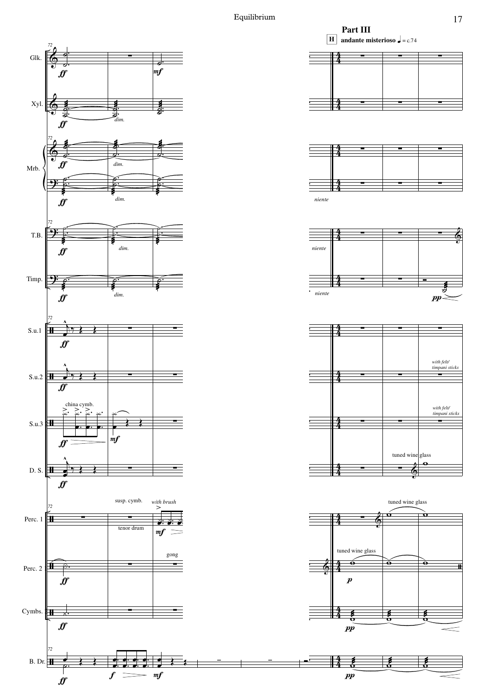![](_page_16_Figure_1.jpeg)

![](_page_16_Figure_2.jpeg)

![](_page_16_Figure_3.jpeg)

![](_page_16_Figure_4.jpeg)

∐

wæ

4 4

₹

 $\boldsymbol{pp}$ 

Ó.

Ó.

∑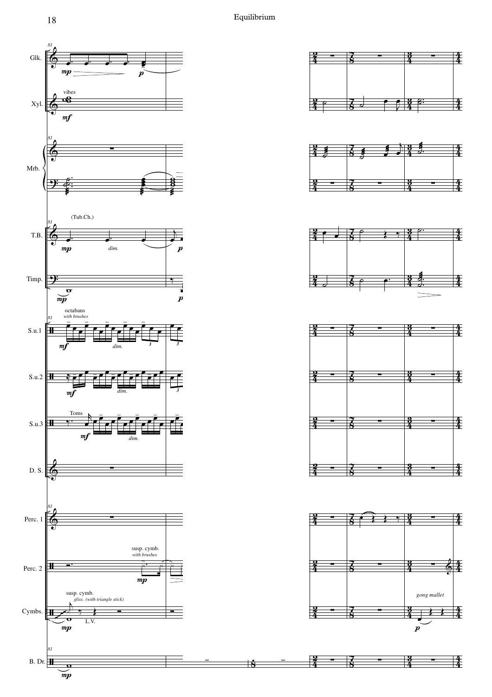![](_page_17_Figure_1.jpeg)

![](_page_17_Figure_2.jpeg)

![](_page_17_Figure_3.jpeg)

 $\frac{3}{4}$ 

 $\frac{1}{4}$ 

 $\frac{2}{4}$ 

A

 $\overline{\mathcal{L}}$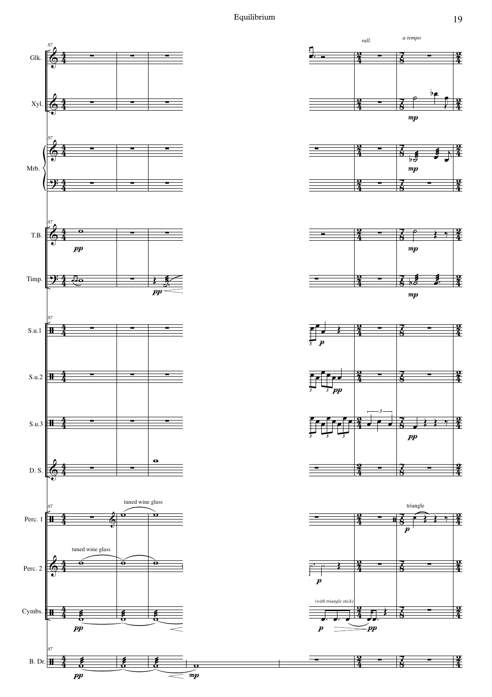![](_page_18_Figure_1.jpeg)

![](_page_18_Figure_2.jpeg)

![](_page_18_Figure_3.jpeg)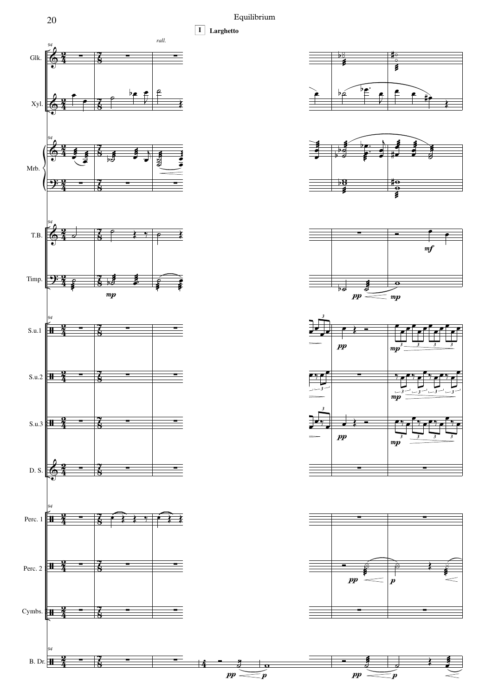**I Larghetto**

![](_page_19_Figure_3.jpeg)

![](_page_19_Figure_4.jpeg)

![](_page_19_Figure_5.jpeg)

![](_page_19_Figure_6.jpeg)

![](_page_19_Figure_7.jpeg)

![](_page_19_Figure_8.jpeg)

![](_page_19_Figure_9.jpeg)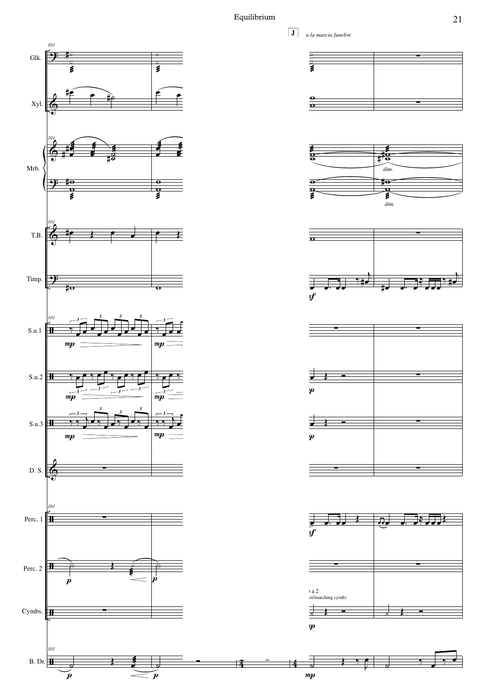4 <u>ي</u>

∑

4 4

˙

 $mp$ 

 $\leftrightarrow$ œ

**J** *a la marcia funebre*

![](_page_20_Figure_2.jpeg)

![](_page_20_Figure_3.jpeg)

![](_page_20_Figure_4.jpeg)

![](_page_20_Figure_5.jpeg)

![](_page_20_Figure_6.jpeg)

![](_page_20_Figure_7.jpeg)

˙

‰ œ  $, \bullet$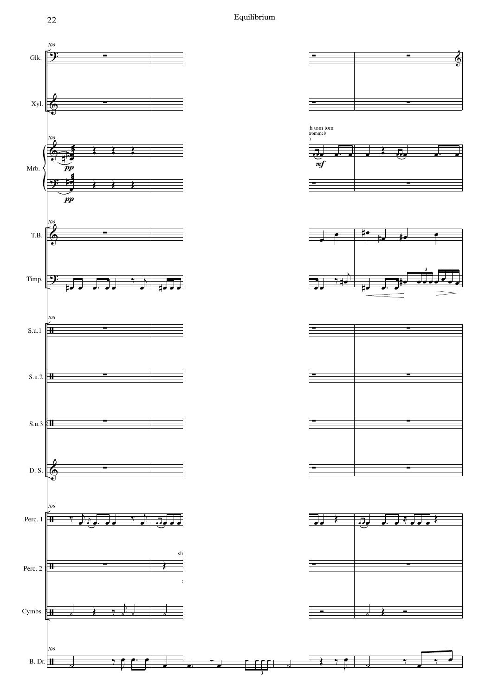![](_page_21_Figure_1.jpeg)

![](_page_21_Figure_2.jpeg)

![](_page_21_Figure_3.jpeg)

![](_page_21_Figure_4.jpeg)

![](_page_21_Figure_5.jpeg)

![](_page_21_Figure_6.jpeg)

![](_page_21_Figure_7.jpeg)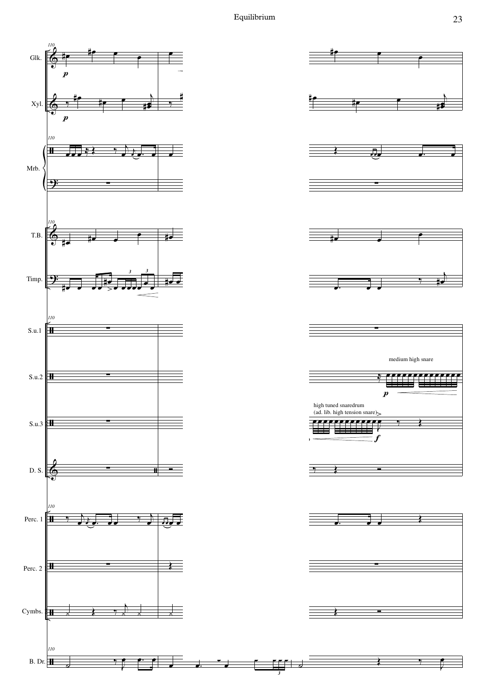![](_page_22_Figure_1.jpeg)

![](_page_22_Figure_2.jpeg)

 $\bullet$   $\bullet$ 

![](_page_22_Figure_3.jpeg)

![](_page_22_Figure_4.jpeg)

 $\leftarrow$ 

œ

*3*

œ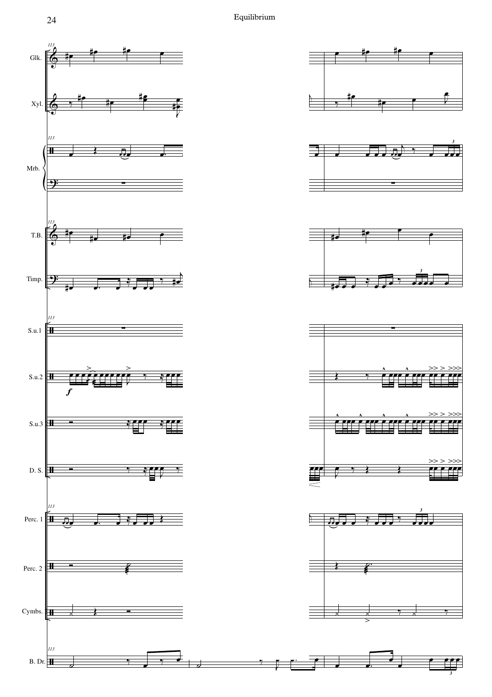![](_page_23_Figure_1.jpeg)

![](_page_23_Figure_2.jpeg)

![](_page_23_Figure_3.jpeg)

![](_page_23_Figure_4.jpeg)

![](_page_23_Figure_5.jpeg)

![](_page_23_Figure_6.jpeg)

![](_page_23_Figure_7.jpeg)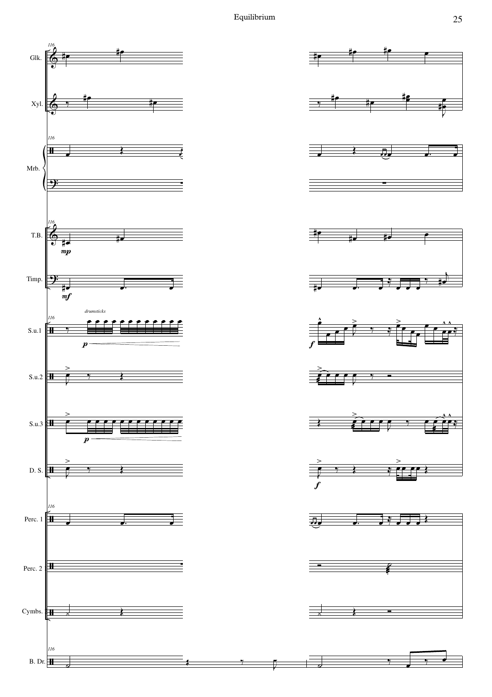![](_page_24_Figure_1.jpeg)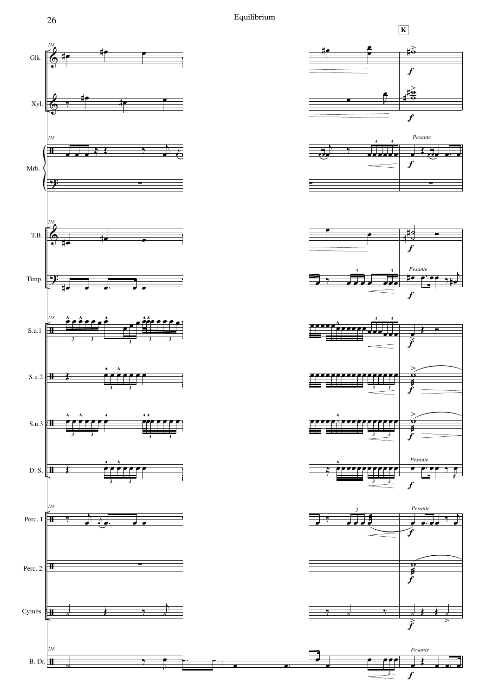![](_page_25_Figure_1.jpeg)

![](_page_25_Figure_2.jpeg)

![](_page_25_Figure_3.jpeg)

![](_page_25_Figure_4.jpeg)

![](_page_25_Figure_5.jpeg)

![](_page_25_Figure_6.jpeg)

![](_page_25_Figure_7.jpeg)

![](_page_25_Figure_8.jpeg)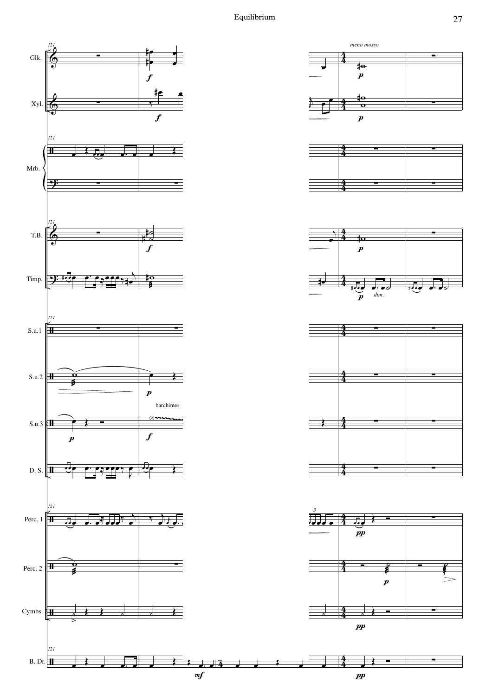![](_page_26_Figure_1.jpeg)

![](_page_26_Figure_2.jpeg)

![](_page_26_Figure_3.jpeg)

![](_page_26_Figure_4.jpeg)

![](_page_26_Figure_5.jpeg)

![](_page_26_Figure_6.jpeg)

![](_page_26_Figure_7.jpeg)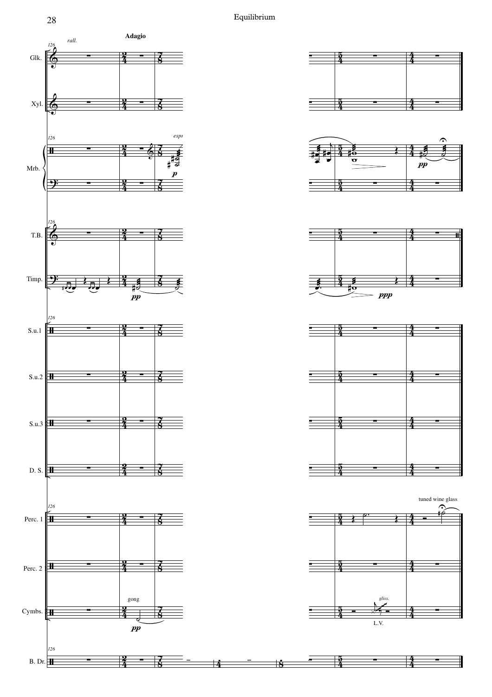4 4

∑

8<br>8

∑

4 5

![](_page_27_Figure_2.jpeg)

![](_page_27_Figure_3.jpeg)

![](_page_27_Figure_4.jpeg)

![](_page_27_Figure_5.jpeg)

![](_page_27_Figure_6.jpeg)

![](_page_27_Figure_7.jpeg)

∑

 $\frac{4}{4}$ 4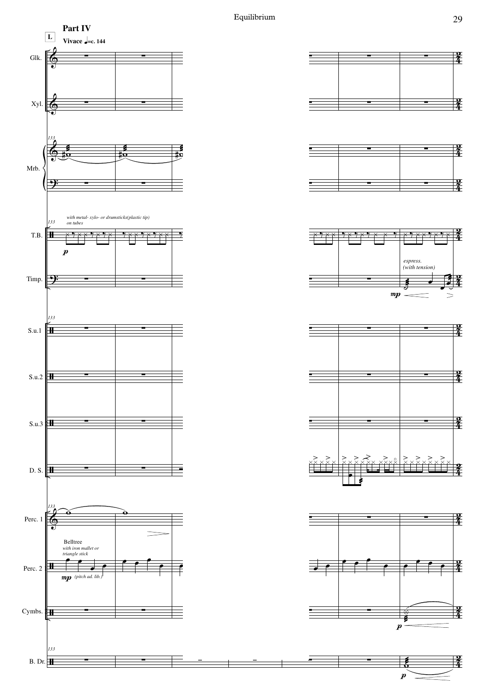![](_page_28_Figure_1.jpeg)

![](_page_28_Figure_2.jpeg)

4 2

∑

∑

∑

∑

 $\times$  ?  $\times$  ?  $\times$  ?  $\times$ 

œ œ œ @

∑

∑

∑

∑

 $\overline{\ }$ 

 $\geq$  $\geq$  $\geq$   $>$  $\geq$   $\geq$  $\sum_{\times}$ 

5

 $\frac{1}{\otimes}$ æ

wæ

 $\boldsymbol{p}$ 

o⊥ æ

*espress. (with tension)* 4 2

4 2

4 2

4 2

4 2

 $\geq$ 

4 2

4 2

4 2

4 2

4 2

4 2

5

4 2

4 2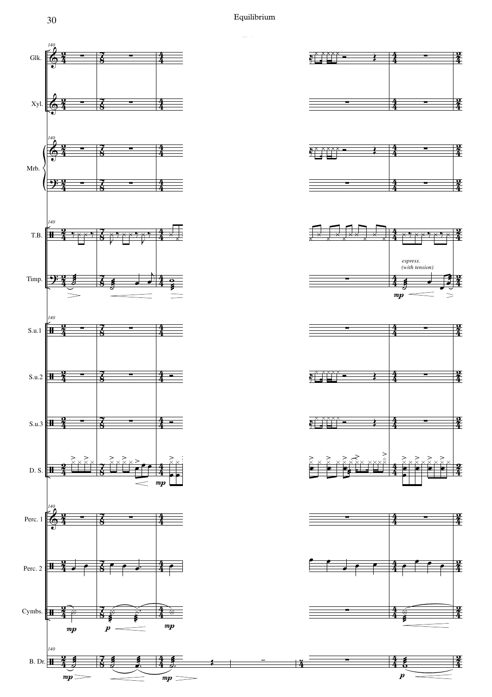![](_page_29_Figure_2.jpeg)

![](_page_29_Figure_3.jpeg)

![](_page_29_Figure_4.jpeg)

![](_page_29_Figure_5.jpeg)

![](_page_29_Figure_6.jpeg)

![](_page_29_Figure_7.jpeg)

4 4

 $\overline{\bm{\mathcal{E}}}$ 

 $\boldsymbol{p}$ 

4 2

4 5

∑

∑

Œ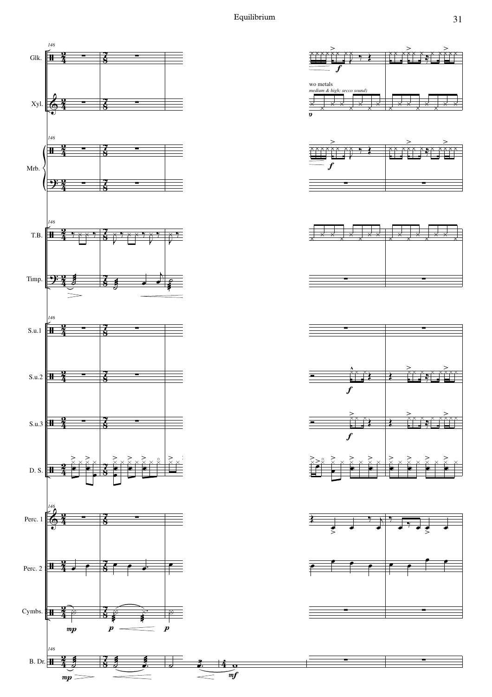4 4

<u>ັ</u>  $\widetilde{m}$ f

![](_page_30_Figure_1.jpeg)

![](_page_30_Figure_2.jpeg)

![](_page_30_Figure_3.jpeg)

![](_page_30_Figure_4.jpeg)

![](_page_30_Figure_5.jpeg)

![](_page_30_Figure_6.jpeg)

∑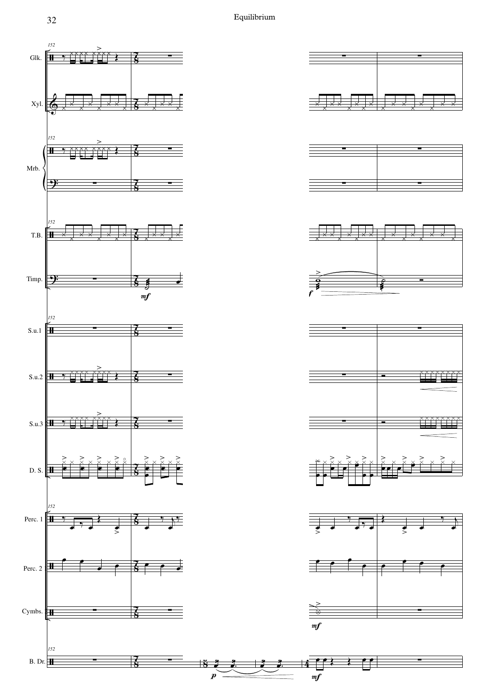![](_page_31_Figure_1.jpeg)

![](_page_31_Figure_2.jpeg)

![](_page_31_Figure_3.jpeg)

![](_page_31_Figure_4.jpeg)

![](_page_31_Figure_5.jpeg)

![](_page_31_Figure_6.jpeg)

![](_page_31_Figure_7.jpeg)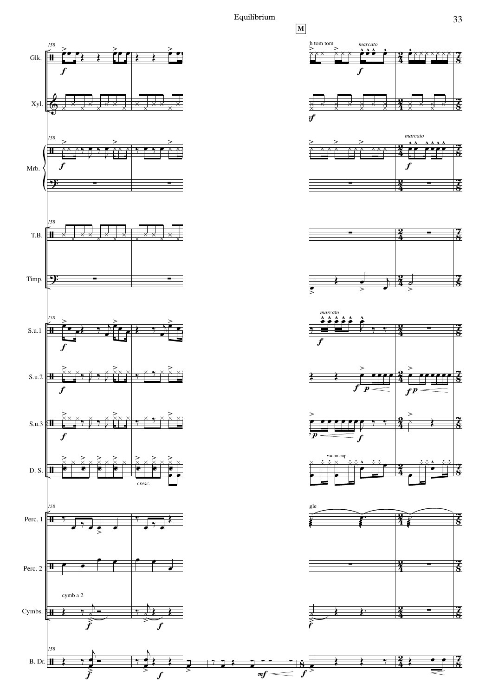![](_page_32_Figure_1.jpeg)

![](_page_32_Figure_2.jpeg)

4 2<br>2  $\epsilon$ 

 $\begin{array}{ccc} & \rightarrow & \rightarrow & \rightarrow \end{array}$ 

8 7

8 .<br>\*

f

œ  $\frac{2}{2}$ 

f

œ œ œ

 $m f$ 

‰ œ œ  $\frac{1}{2}$ œ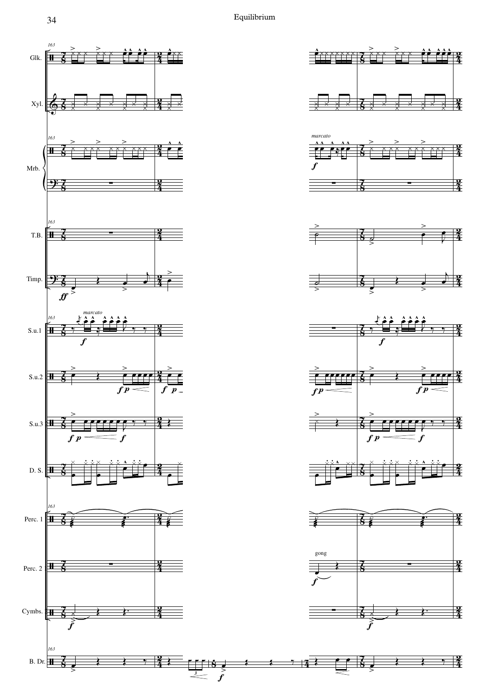![](_page_33_Figure_1.jpeg)

![](_page_33_Figure_2.jpeg)

![](_page_33_Figure_3.jpeg)

![](_page_33_Figure_4.jpeg)

![](_page_33_Figure_5.jpeg)

![](_page_33_Figure_6.jpeg)

![](_page_33_Figure_7.jpeg)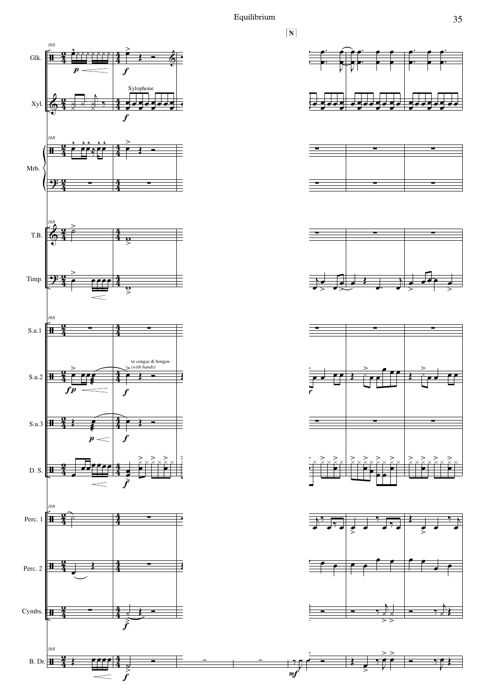![](_page_34_Figure_1.jpeg)

![](_page_34_Figure_2.jpeg)

∑

∑

‰ J œ e<br>e  $\ddot{z}$ <u>i</u>

 $m f$ 

![](_page_34_Figure_3.jpeg)

![](_page_34_Figure_4.jpeg)

![](_page_34_Figure_5.jpeg)

![](_page_34_Figure_6.jpeg)

![](_page_34_Figure_7.jpeg)

 $\frac{9}{7}$ 

J م<br>چ

Œ œ  $\frac{2}{2}$ ‰ J œ  $\geq$ œ  $\geq$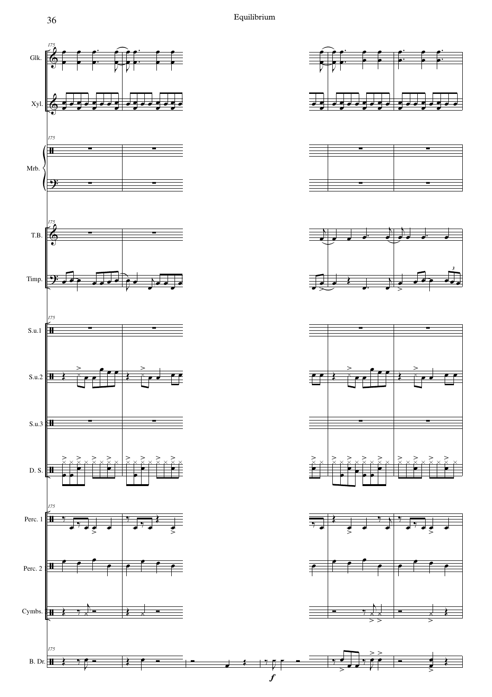![](_page_35_Figure_1.jpeg)

![](_page_35_Figure_2.jpeg)

![](_page_35_Figure_3.jpeg)

![](_page_35_Figure_4.jpeg)

![](_page_35_Figure_5.jpeg)

![](_page_35_Figure_6.jpeg)

![](_page_35_Figure_7.jpeg)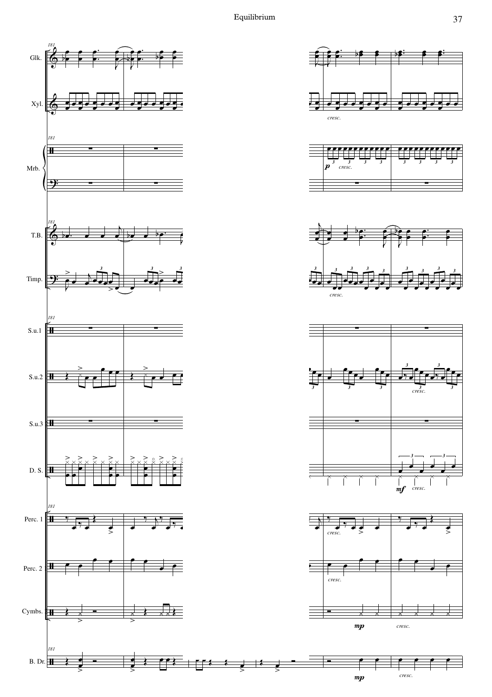![](_page_36_Figure_1.jpeg)

![](_page_36_Figure_2.jpeg)

![](_page_36_Figure_3.jpeg)

![](_page_36_Figure_4.jpeg)

![](_page_36_Figure_5.jpeg)

![](_page_36_Figure_6.jpeg)

![](_page_36_Figure_7.jpeg)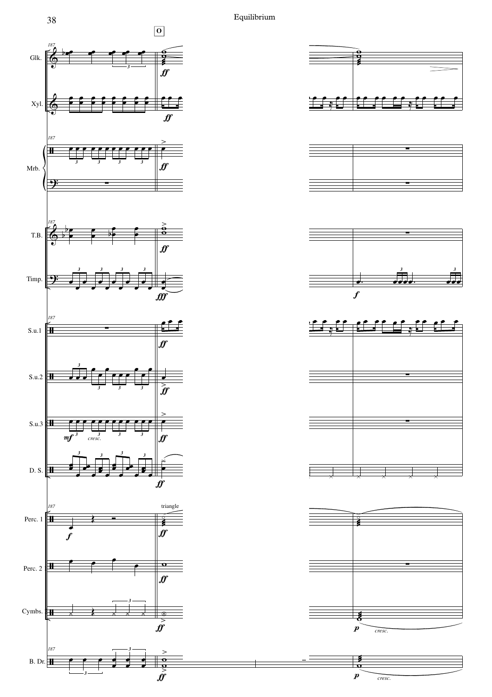![](_page_37_Figure_0.jpeg)

![](_page_37_Figure_2.jpeg)

 $\dot{ \bm \theta}$ 

![](_page_37_Figure_3.jpeg)

![](_page_37_Figure_4.jpeg)

![](_page_37_Figure_5.jpeg)

![](_page_37_Figure_6.jpeg)

![](_page_37_Figure_7.jpeg)

*cresc.*

w æ  $\boldsymbol{p}$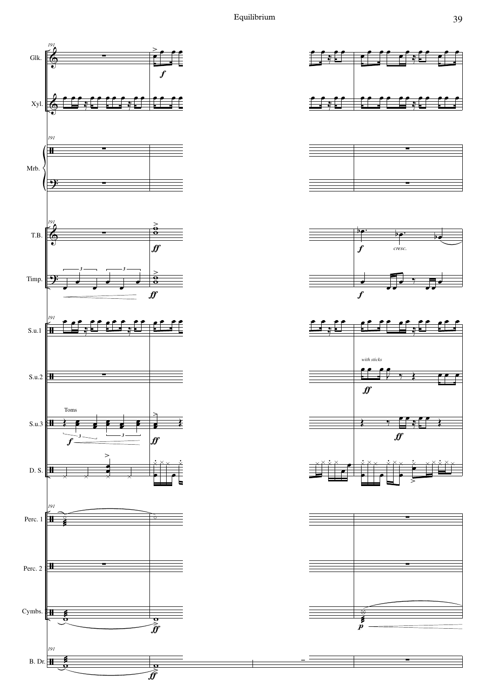![](_page_38_Figure_1.jpeg)

![](_page_38_Figure_2.jpeg)

![](_page_38_Figure_3.jpeg)

![](_page_38_Figure_4.jpeg)

![](_page_38_Figure_5.jpeg)

![](_page_38_Figure_6.jpeg)

∑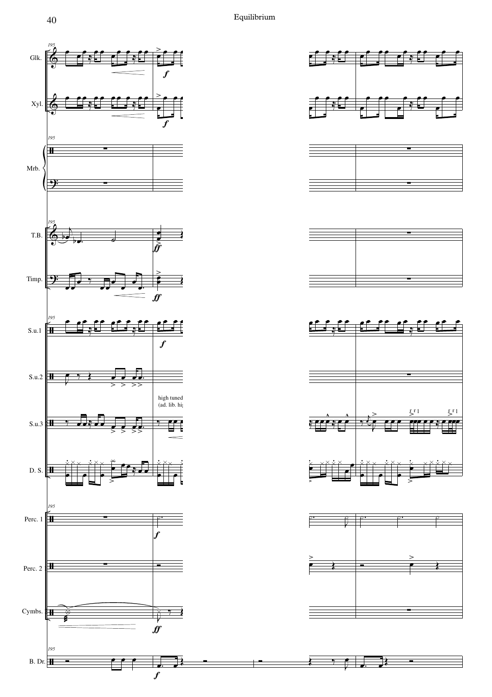![](_page_39_Figure_1.jpeg)

![](_page_39_Figure_2.jpeg)

![](_page_39_Figure_3.jpeg)

![](_page_39_Figure_4.jpeg)

![](_page_39_Figure_5.jpeg)

![](_page_39_Figure_6.jpeg)

 $\overline{\mathcal{E}}$   $\overline{\mathcal{E}}$   $\overline{\mathcal{E}}$ 

œ

 $\overline{\cdot}$ 

 $\zeta$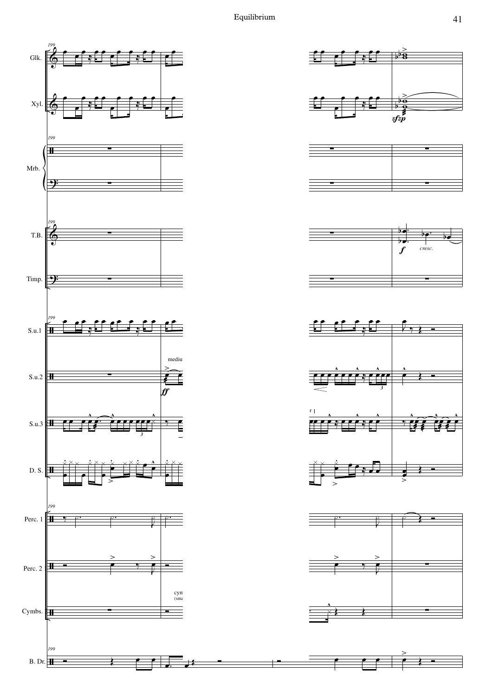![](_page_40_Figure_1.jpeg)

![](_page_40_Figure_2.jpeg)

![](_page_40_Figure_3.jpeg)

![](_page_40_Figure_4.jpeg)

![](_page_40_Figure_5.jpeg)

![](_page_40_Figure_6.jpeg)

œ  $\geq$ 

 $\frac{1}{2}$ 

Ó œ œ œ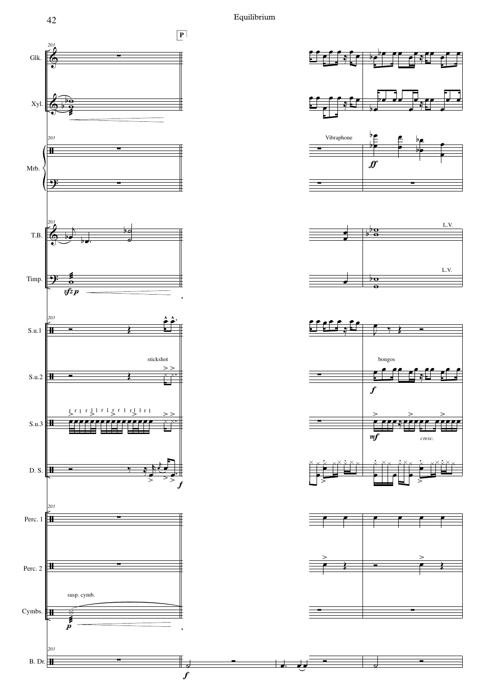![](_page_41_Figure_0.jpeg)

![](_page_41_Figure_1.jpeg)

![](_page_41_Figure_2.jpeg)

![](_page_41_Figure_3.jpeg)

![](_page_41_Figure_4.jpeg)

![](_page_41_Figure_5.jpeg)

![](_page_41_Figure_6.jpeg)

 $\overline{\phantom{a}}\hspace{0.1cm}$ 

 $\overline{\phantom{a}}$  .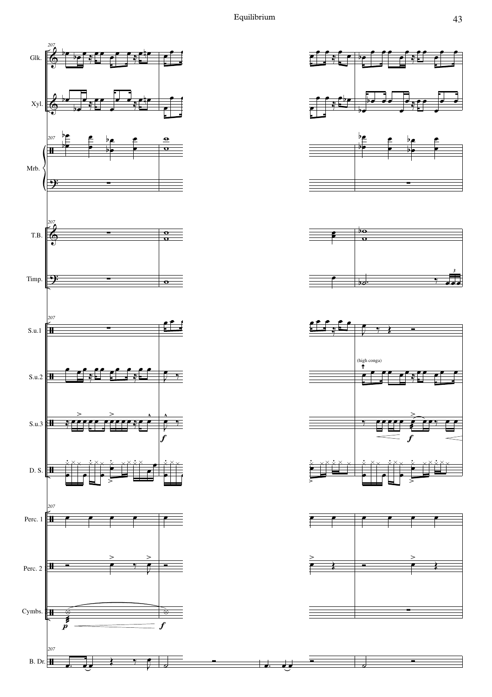Ó

 $\overline{\phantom{a}}$ 

<u>i</u>

![](_page_42_Figure_1.jpeg)

![](_page_42_Figure_2.jpeg)

![](_page_42_Figure_3.jpeg)

![](_page_42_Figure_4.jpeg)

![](_page_42_Figure_5.jpeg)

![](_page_42_Figure_6.jpeg)

Ó

˙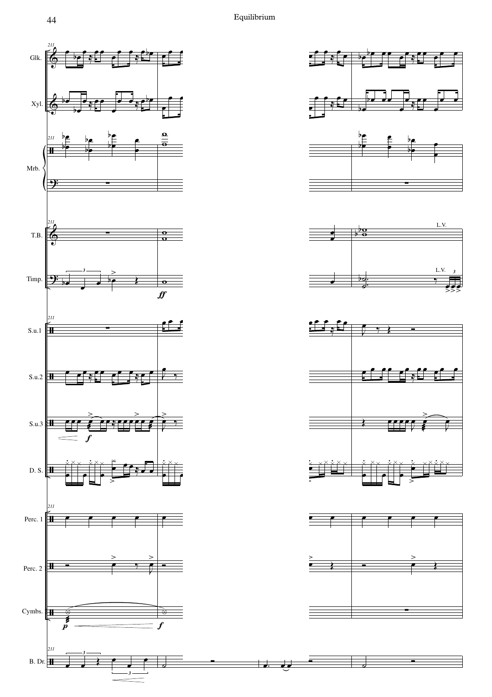![](_page_43_Figure_1.jpeg)

Ó

 $\overline{\phantom{a}}$ .

Í.

![](_page_43_Figure_2.jpeg)

![](_page_43_Figure_3.jpeg)

![](_page_43_Figure_4.jpeg)

![](_page_43_Figure_5.jpeg)

![](_page_43_Figure_6.jpeg)

<u>i</u>

˙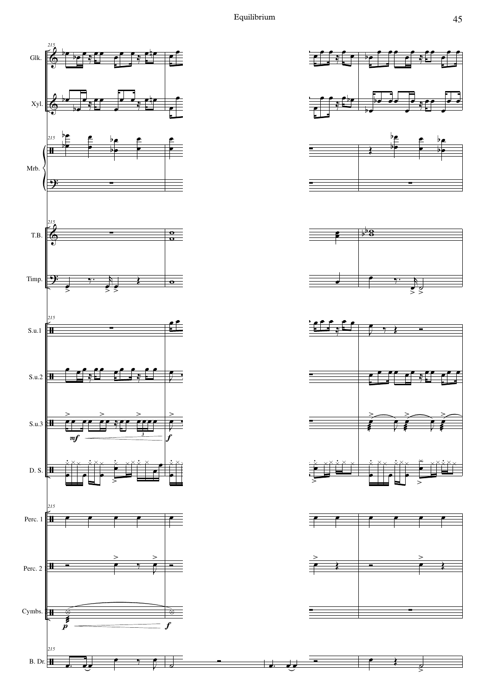Ó

 $\overline{\phantom{a}}$ .

Ó

![](_page_44_Figure_1.jpeg)

![](_page_44_Figure_2.jpeg)

![](_page_44_Figure_3.jpeg)

![](_page_44_Figure_4.jpeg)

![](_page_44_Figure_5.jpeg)

![](_page_44_Figure_6.jpeg)

 $\overrightarrow{c}$ 

˙ >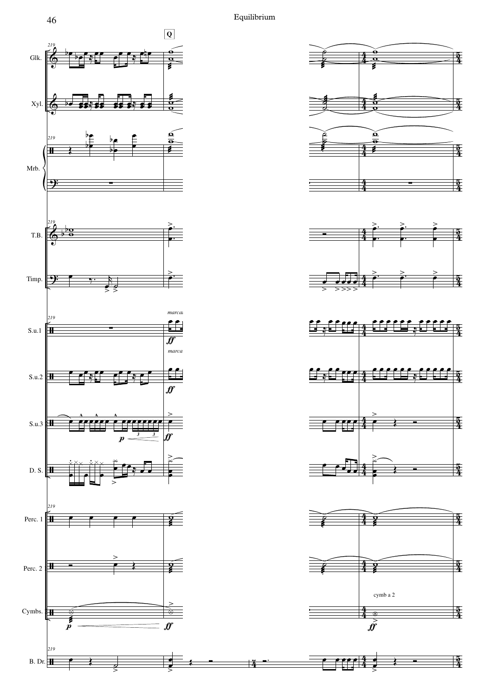4 5

![](_page_45_Figure_2.jpeg)

![](_page_45_Figure_3.jpeg)

![](_page_45_Figure_4.jpeg)

4 5

4 4

œ œ  $\frac{2}{2}$ 

 $\frac{1}{2}$ 

<u>. ee ee ee</u>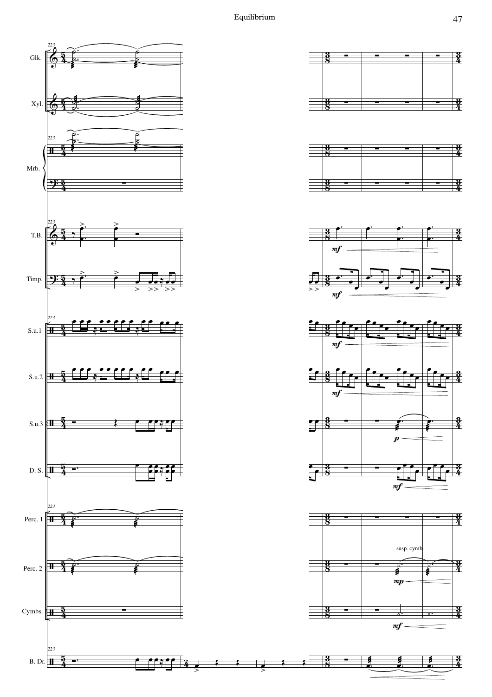![](_page_46_Figure_1.jpeg)

![](_page_46_Figure_2.jpeg)

![](_page_46_Figure_3.jpeg)

4 3

ź. æ

8 3

∑

œ. æ

œ. æ

 $\begin{matrix} \updownarrow & \downarrow \\ \downarrow & \downarrow \end{matrix}$ 

œ  $\frac{1}{2}$   $\overline{\mathbf{r}}$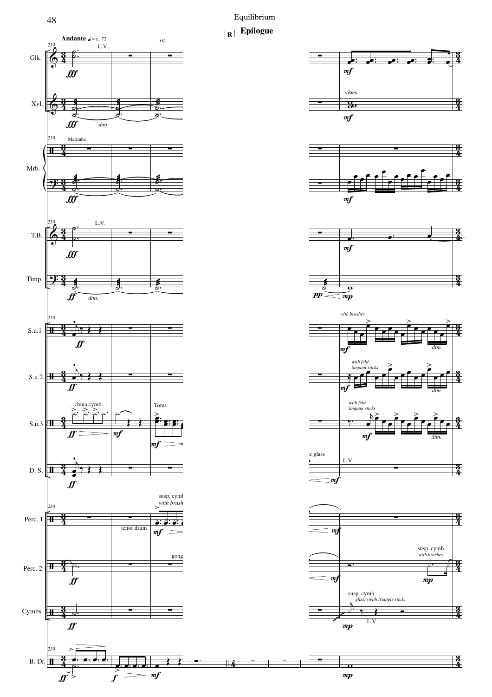![](_page_47_Figure_0.jpeg)

![](_page_47_Figure_1.jpeg)

![](_page_47_Figure_2.jpeg)

![](_page_47_Figure_3.jpeg)

![](_page_47_Figure_4.jpeg)

![](_page_47_Figure_5.jpeg)

![](_page_47_Figure_6.jpeg)

![](_page_47_Figure_7.jpeg)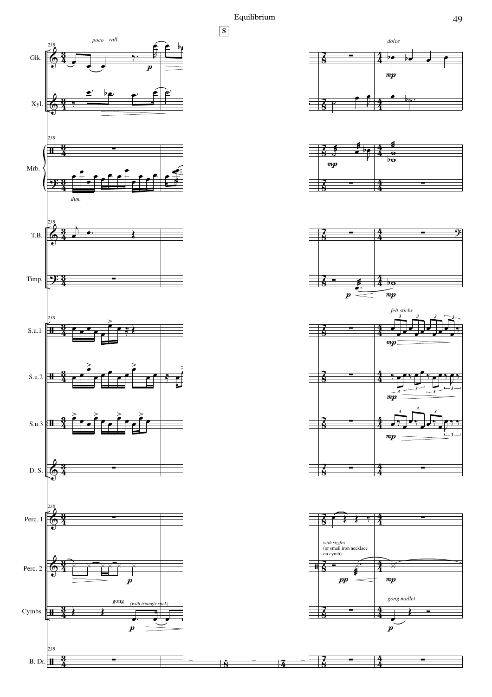**S**

8<br>8

∑

4 2

∑

8 7

∑

![](_page_48_Figure_2.jpeg)

![](_page_48_Figure_3.jpeg)

![](_page_48_Figure_4.jpeg)

![](_page_48_Figure_5.jpeg)

![](_page_48_Figure_6.jpeg)

![](_page_48_Figure_7.jpeg)

4 4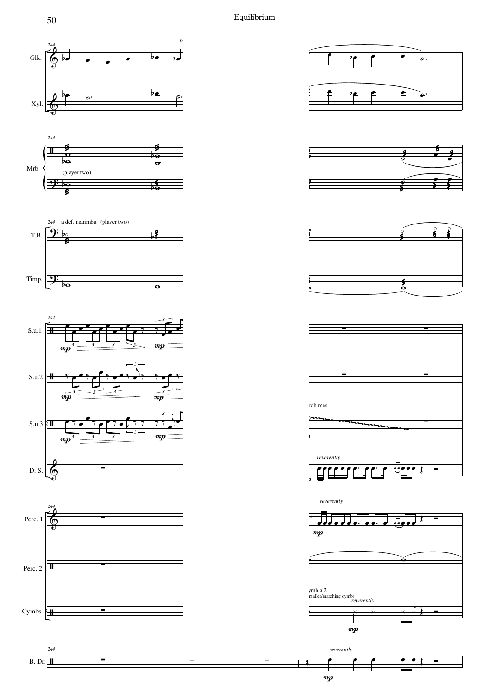![](_page_49_Figure_1.jpeg)

![](_page_49_Figure_2.jpeg)

![](_page_49_Figure_3.jpeg)

![](_page_49_Figure_4.jpeg)

![](_page_49_Figure_5.jpeg)

![](_page_49_Figure_6.jpeg)

 $\frac{1}{2}$ 

*reverently*

 $\mathbf{m}$ 

∑

![](_page_49_Figure_7.jpeg)

 $e$   $e$   $\rightarrow$   $-$ 

![](_page_49_Figure_8.jpeg)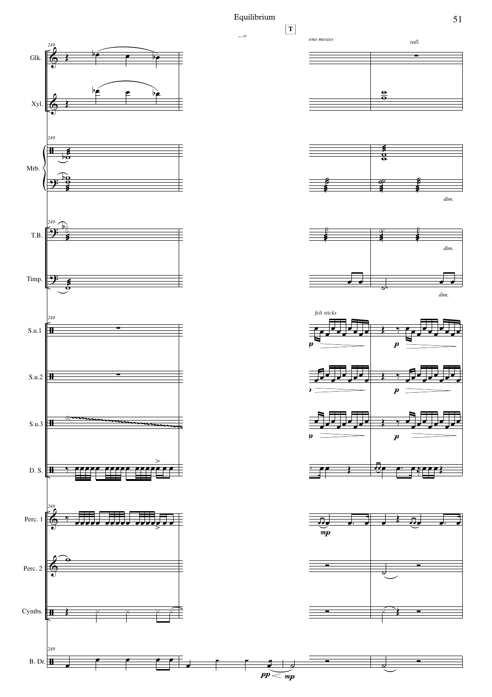![](_page_50_Figure_0.jpeg)

 $\ldots$ 

÷  $pp \leq mp$ 

![](_page_50_Figure_2.jpeg)

![](_page_50_Figure_3.jpeg)

![](_page_50_Figure_4.jpeg)